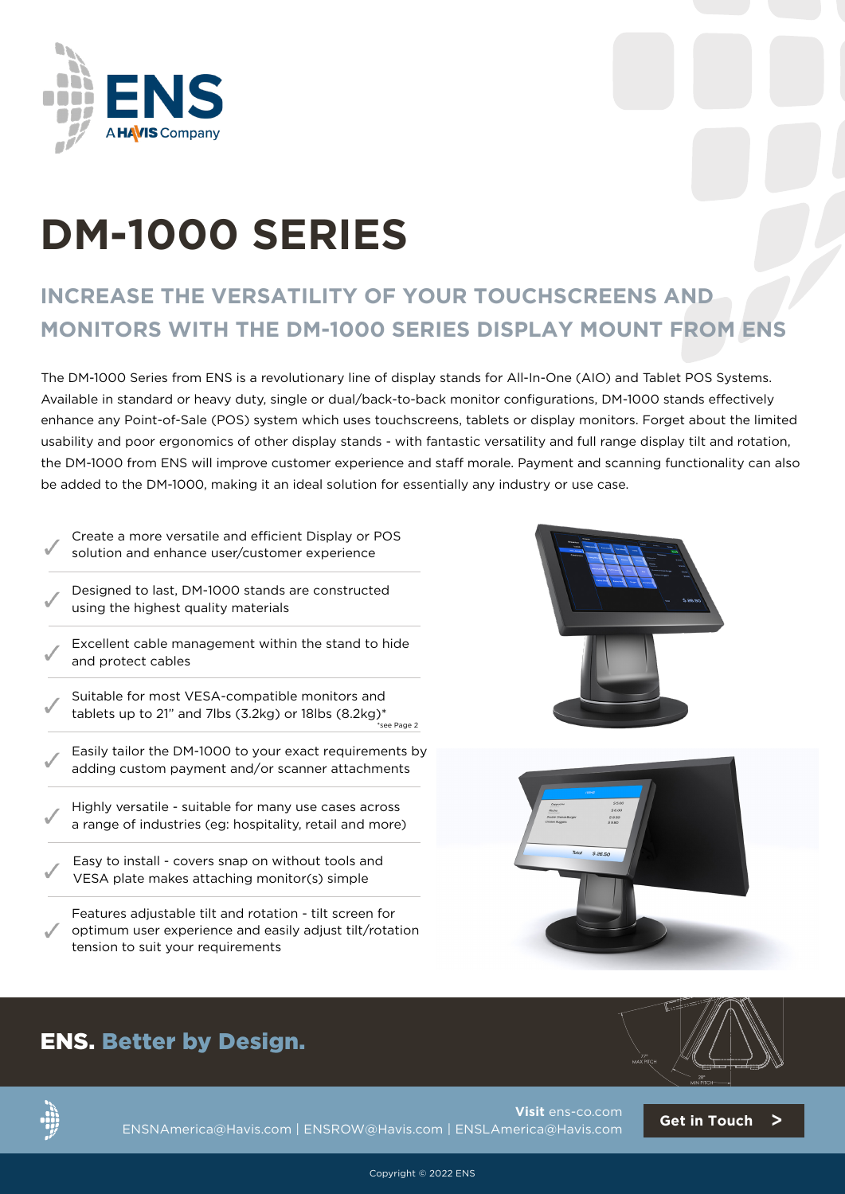

# **DM-1000 SERIES**

## **INCREASE THE VERSATILITY OF YOUR TOUCHSCREENS AND MONITORS WITH THE DM-1000 SERIES DISPLAY MOUNT FROM ENS**

The DM-1000 Series from ENS is a revolutionary line of display stands for All-In-One (AIO) and Tablet POS Systems. Available in standard or heavy duty, single or dual/back-to-back monitor configurations, DM-1000 stands effectively enhance any Point-of-Sale (POS) system which uses touchscreens, tablets or display monitors. Forget about the limited usability and poor ergonomics of other display stands - with fantastic versatility and full range display tilt and rotation, the DM-1000 from ENS will improve customer experience and staff morale. Payment and scanning functionality can also be added to the DM-1000, making it an ideal solution for essentially any industry or use case.

Create a more versatile and efficient Display or POS solution and enhance user/customer experience

- Designed to last, DM-1000 stands are constructed using the highest quality materials
- Excellent cable management within the stand to hide and protect cables
- Suitable for most VESA-compatible monitors and tablets up to 21" and 7lbs (3.2kg) or 18lbs  $(8.2kg)^*$ .<br>see Page 2
- Easily tailor the DM-1000 to your exact requirements by adding custom payment and/or scanner attachments
- Highly versatile suitable for many use cases across a range of industries (eg: hospitality, retail and more)
- Easy to install covers snap on without tools and VESA plate makes attaching monitor(s) simple

Features adjustable tilt and rotation - tilt screen for optimum user experience and easily adjust tilt/rotation tension to suit your requirements











**Visit** [ens-co.com](https://www.ens-co.com) ENSNAmerica@Havis.com | ENSROW@Havis.com | ENSLAmerica@Havis.com **[Get in Touch](https://share.hsforms.com/1CMldDvBAS2azhVhzVADYAQ3r2sf)** >